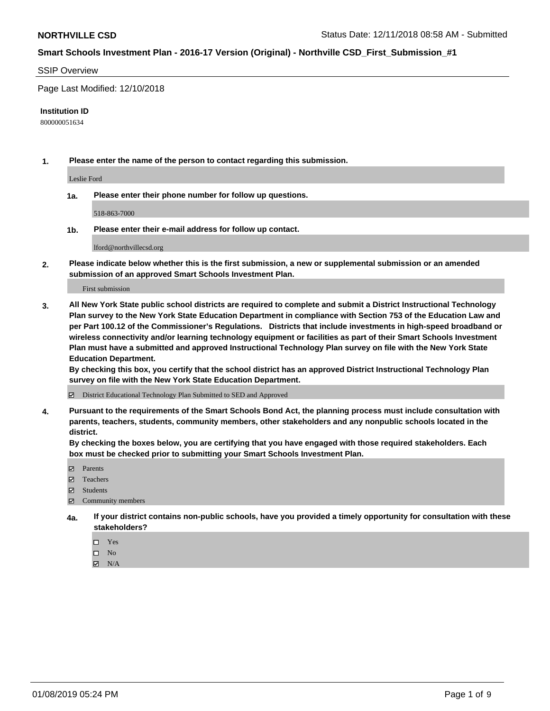#### SSIP Overview

Page Last Modified: 12/10/2018

#### **Institution ID**

800000051634

**1. Please enter the name of the person to contact regarding this submission.**

Leslie Ford

**1a. Please enter their phone number for follow up questions.**

518-863-7000

**1b. Please enter their e-mail address for follow up contact.**

lford@northvillecsd.org

**2. Please indicate below whether this is the first submission, a new or supplemental submission or an amended submission of an approved Smart Schools Investment Plan.**

First submission

**3. All New York State public school districts are required to complete and submit a District Instructional Technology Plan survey to the New York State Education Department in compliance with Section 753 of the Education Law and per Part 100.12 of the Commissioner's Regulations. Districts that include investments in high-speed broadband or wireless connectivity and/or learning technology equipment or facilities as part of their Smart Schools Investment Plan must have a submitted and approved Instructional Technology Plan survey on file with the New York State Education Department.** 

**By checking this box, you certify that the school district has an approved District Instructional Technology Plan survey on file with the New York State Education Department.**

District Educational Technology Plan Submitted to SED and Approved

**4. Pursuant to the requirements of the Smart Schools Bond Act, the planning process must include consultation with parents, teachers, students, community members, other stakeholders and any nonpublic schools located in the district.** 

**By checking the boxes below, you are certifying that you have engaged with those required stakeholders. Each box must be checked prior to submitting your Smart Schools Investment Plan.**

- **□** Parents
- Teachers
- Students
- $\boxtimes$  Community members
- **4a. If your district contains non-public schools, have you provided a timely opportunity for consultation with these stakeholders?**
	- $\Box$  Yes
	- $\qquad \qquad$  No
	- $\blacksquare$  N/A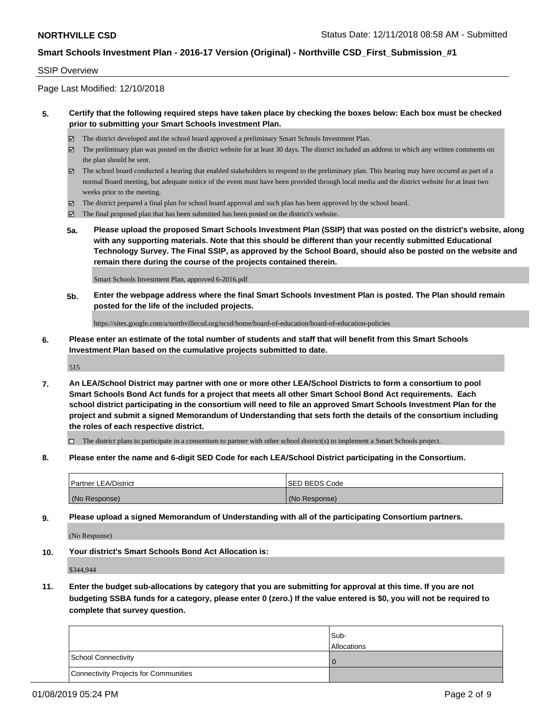### SSIP Overview

Page Last Modified: 12/10/2018

### **5. Certify that the following required steps have taken place by checking the boxes below: Each box must be checked prior to submitting your Smart Schools Investment Plan.**

- The district developed and the school board approved a preliminary Smart Schools Investment Plan.
- $\boxtimes$  The preliminary plan was posted on the district website for at least 30 days. The district included an address to which any written comments on the plan should be sent.
- $\boxtimes$  The school board conducted a hearing that enabled stakeholders to respond to the preliminary plan. This hearing may have occured as part of a normal Board meeting, but adequate notice of the event must have been provided through local media and the district website for at least two weeks prior to the meeting.
- The district prepared a final plan for school board approval and such plan has been approved by the school board.
- $\boxtimes$  The final proposed plan that has been submitted has been posted on the district's website.
- **5a. Please upload the proposed Smart Schools Investment Plan (SSIP) that was posted on the district's website, along with any supporting materials. Note that this should be different than your recently submitted Educational Technology Survey. The Final SSIP, as approved by the School Board, should also be posted on the website and remain there during the course of the projects contained therein.**

Smart Schools Investment Plan, approved 6-2016.pdf

**5b. Enter the webpage address where the final Smart Schools Investment Plan is posted. The Plan should remain posted for the life of the included projects.**

https://sites.google.com/a/northvillecsd.org/ncsd/home/board-of-education/board-of-education-policies

**6. Please enter an estimate of the total number of students and staff that will benefit from this Smart Schools Investment Plan based on the cumulative projects submitted to date.**

515

**7. An LEA/School District may partner with one or more other LEA/School Districts to form a consortium to pool Smart Schools Bond Act funds for a project that meets all other Smart School Bond Act requirements. Each school district participating in the consortium will need to file an approved Smart Schools Investment Plan for the project and submit a signed Memorandum of Understanding that sets forth the details of the consortium including the roles of each respective district.**

 $\Box$  The district plans to participate in a consortium to partner with other school district(s) to implement a Smart Schools project.

**8. Please enter the name and 6-digit SED Code for each LEA/School District participating in the Consortium.**

| <b>Partner LEA/District</b> | <b>ISED BEDS Code</b> |
|-----------------------------|-----------------------|
| (No Response)               | (No Response)         |

**9. Please upload a signed Memorandum of Understanding with all of the participating Consortium partners.**

(No Response)

**10. Your district's Smart Schools Bond Act Allocation is:**

\$344,944

**11. Enter the budget sub-allocations by category that you are submitting for approval at this time. If you are not budgeting SSBA funds for a category, please enter 0 (zero.) If the value entered is \$0, you will not be required to complete that survey question.**

|                                              | Sub-<br><b>Allocations</b> |
|----------------------------------------------|----------------------------|
| <b>School Connectivity</b>                   |                            |
| <b>Connectivity Projects for Communities</b> |                            |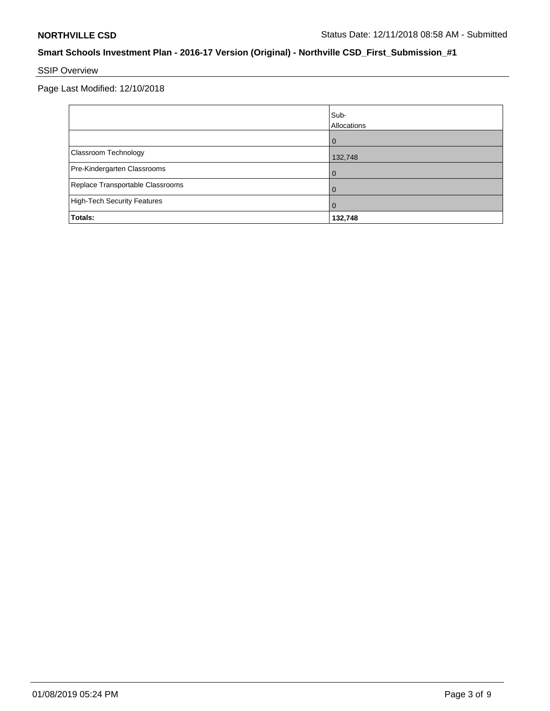# SSIP Overview

Page Last Modified: 12/10/2018

|                                    | Sub-<br>Allocations |
|------------------------------------|---------------------|
|                                    | $\Omega$            |
| Classroom Technology               | 132,748             |
| Pre-Kindergarten Classrooms        | $\Omega$            |
| Replace Transportable Classrooms   |                     |
| <b>High-Tech Security Features</b> |                     |
| Totals:                            | 132,748             |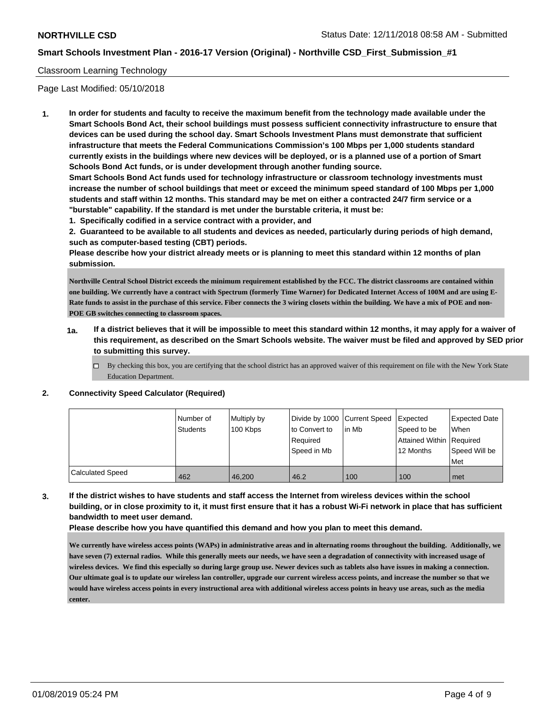### Classroom Learning Technology

Page Last Modified: 05/10/2018

**1. In order for students and faculty to receive the maximum benefit from the technology made available under the Smart Schools Bond Act, their school buildings must possess sufficient connectivity infrastructure to ensure that devices can be used during the school day. Smart Schools Investment Plans must demonstrate that sufficient infrastructure that meets the Federal Communications Commission's 100 Mbps per 1,000 students standard currently exists in the buildings where new devices will be deployed, or is a planned use of a portion of Smart Schools Bond Act funds, or is under development through another funding source.**

**Smart Schools Bond Act funds used for technology infrastructure or classroom technology investments must increase the number of school buildings that meet or exceed the minimum speed standard of 100 Mbps per 1,000 students and staff within 12 months. This standard may be met on either a contracted 24/7 firm service or a "burstable" capability. If the standard is met under the burstable criteria, it must be:**

**1. Specifically codified in a service contract with a provider, and**

**2. Guaranteed to be available to all students and devices as needed, particularly during periods of high demand, such as computer-based testing (CBT) periods.**

**Please describe how your district already meets or is planning to meet this standard within 12 months of plan submission.**

**Northville Central School District exceeds the minimum requirement established by the FCC. The district classrooms are contained within one building. We currently have a contract with Spectrum (formerly Time Warner) for Dedicated Internet Access of 100M and are using E-Rate funds to assist in the purchase of this service. Fiber connects the 3 wiring closets within the building. We have a mix of POE and non-POE GB switches connecting to classroom spaces.**

- **1a. If a district believes that it will be impossible to meet this standard within 12 months, it may apply for a waiver of this requirement, as described on the Smart Schools website. The waiver must be filed and approved by SED prior to submitting this survey.**
	- By checking this box, you are certifying that the school district has an approved waiver of this requirement on file with the New York State Education Department.

#### **2. Connectivity Speed Calculator (Required)**

|                         | Number of       | Multiply by | Divide by 1000 Current Speed |         | Expected                 | Expected Date |
|-------------------------|-----------------|-------------|------------------------------|---------|--------------------------|---------------|
|                         | <b>Students</b> | 100 Kbps    | to Convert to                | l in Mb | Speed to be              | When          |
|                         |                 |             | Required                     |         | Attained Within Required |               |
|                         |                 |             | Speed in Mb                  |         | 12 Months                | Speed Will be |
|                         |                 |             |                              |         |                          | Met           |
| <b>Calculated Speed</b> | 462             | 46.200      | 46.2                         | 100     | 100                      | met           |

**3. If the district wishes to have students and staff access the Internet from wireless devices within the school building, or in close proximity to it, it must first ensure that it has a robust Wi-Fi network in place that has sufficient bandwidth to meet user demand.**

**Please describe how you have quantified this demand and how you plan to meet this demand.**

**We currently have wireless access points (WAPs) in administrative areas and in alternating rooms throughout the building. Additionally, we have seven (7) external radios. While this generally meets our needs, we have seen a degradation of connectivity with increased usage of wireless devices. We find this especially so during large group use. Newer devices such as tablets also have issues in making a connection. Our ultimate goal is to update our wireless lan controller, upgrade our current wireless access points, and increase the number so that we would have wireless access points in every instructional area with additional wireless access points in heavy use areas, such as the media center.**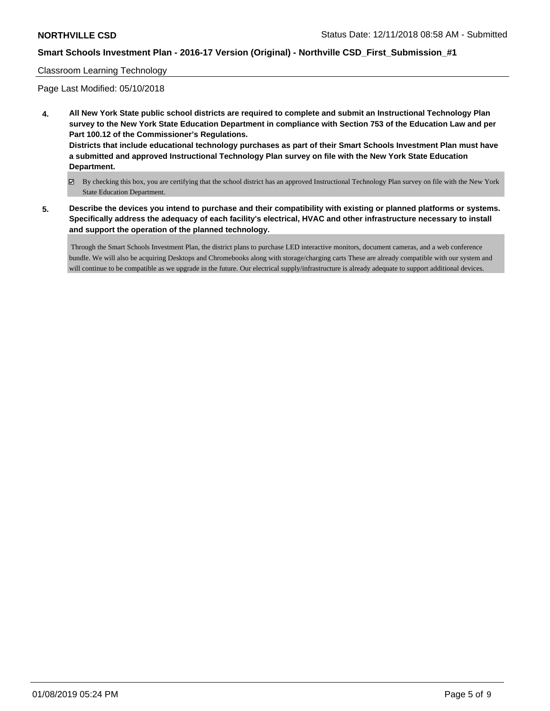### Classroom Learning Technology

Page Last Modified: 05/10/2018

- **4. All New York State public school districts are required to complete and submit an Instructional Technology Plan survey to the New York State Education Department in compliance with Section 753 of the Education Law and per Part 100.12 of the Commissioner's Regulations. Districts that include educational technology purchases as part of their Smart Schools Investment Plan must have a submitted and approved Instructional Technology Plan survey on file with the New York State Education Department.**
	- By checking this box, you are certifying that the school district has an approved Instructional Technology Plan survey on file with the New York State Education Department.
- **5. Describe the devices you intend to purchase and their compatibility with existing or planned platforms or systems. Specifically address the adequacy of each facility's electrical, HVAC and other infrastructure necessary to install and support the operation of the planned technology.**

 Through the Smart Schools Investment Plan, the district plans to purchase LED interactive monitors, document cameras, and a web conference bundle. We will also be acquiring Desktops and Chromebooks along with storage/charging carts These are already compatible with our system and will continue to be compatible as we upgrade in the future. Our electrical supply/infrastructure is already adequate to support additional devices.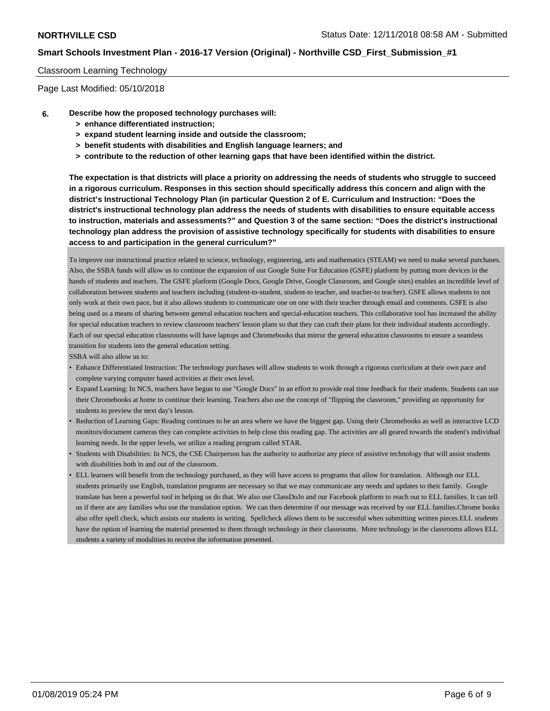#### Classroom Learning Technology

Page Last Modified: 05/10/2018

- **6. Describe how the proposed technology purchases will:**
	- **> enhance differentiated instruction;**
	- **> expand student learning inside and outside the classroom;**
	- **> benefit students with disabilities and English language learners; and**
	- **> contribute to the reduction of other learning gaps that have been identified within the district.**

**The expectation is that districts will place a priority on addressing the needs of students who struggle to succeed in a rigorous curriculum. Responses in this section should specifically address this concern and align with the district's Instructional Technology Plan (in particular Question 2 of E. Curriculum and Instruction: "Does the district's instructional technology plan address the needs of students with disabilities to ensure equitable access to instruction, materials and assessments?" and Question 3 of the same section: "Does the district's instructional technology plan address the provision of assistive technology specifically for students with disabilities to ensure access to and participation in the general curriculum?"**

To improve our instructional practice related to science, technology, engineering, arts and mathematics (STEAM) we need to make several purchases. Also, the SSBA funds will allow us to continue the expansion of our Google Suite For Education (GSFE) platform by putting more devices in the hands of students and teachers. The GSFE platform (Google Docs, Google Drive, Google Classroom, and Google sites) enables an incredible level of collaboration between students and teachers including (student-to-student, student-to teacher, and teacher-to teacher). GSFE allows students to not only work at their own pace, but it also allows students to communicate one on one with their teacher through email and comments. GSFE is also being used as a means of sharing between general education teachers and special-education teachers. This collaborative tool has increased the ability for special education teachers to review classroom teachers' lesson plans so that they can craft their plans for their individual students accordingly. Each of our special education classrooms will have laptops and Chromebooks that mirror the general education classrooms to ensure a seamless transition for students into the general education setting.

SSBA will also allow us to:

- Enhance Differentiated Instruction: The technology purchases will allow students to work through a rigorous curriculum at their own pace and complete varying computer based activities at their own level.
- Expand Learning: In NCS, teachers have begun to use "Google Docs" in an effort to provide real time feedback for their students. Students can use their Chromebooks at home to continue their learning. Teachers also use the concept of "flipping the classroom," providing an opportunity for students to preview the next day's lesson.
- Reduction of Learning Gaps: Reading continues to be an area where we have the biggest gap. Using their Chromebooks as well as interactive LCD monitors/document cameras they can complete activities to help close this reading gap. The activities are all geared towards the student's individual learning needs. In the upper levels, we utilize a reading program called STAR.
- Students with Disabilities: In NCS, the CSE Chairperson has the authority to authorize any piece of assistive technology that will assist students with disabilities both in and out of the classroom.
- ELL learners will benefit from the technology purchased, as they will have access to programs that allow for translation. Although our ELL students primarily use English, translation programs are necessary so that we may communicate any needs and updates to their family. Google translate has been a powerful tool in helping us do that. We also use ClassDoJo and our Facebook platform to reach out to ELL families. It can tell us if there are any families who use the translation option. We can then determine if our message was received by our ELL families.Chrome books also offer spell check, which assists our students in writing. Spellcheck allows them to be successful when submitting written pieces.ELL students have the option of learning the material presented to them through technology in their classrooms. More technology in the classrooms allows ELL students a variety of modalities to receive the information presented.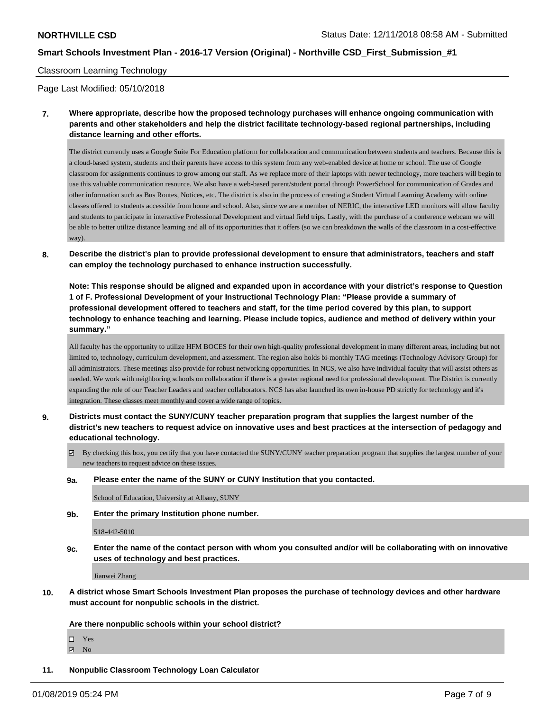#### Classroom Learning Technology

Page Last Modified: 05/10/2018

**7. Where appropriate, describe how the proposed technology purchases will enhance ongoing communication with parents and other stakeholders and help the district facilitate technology-based regional partnerships, including distance learning and other efforts.**

The district currently uses a Google Suite For Education platform for collaboration and communication between students and teachers. Because this is a cloud-based system, students and their parents have access to this system from any web-enabled device at home or school. The use of Google classroom for assignments continues to grow among our staff. As we replace more of their laptops with newer technology, more teachers will begin to use this valuable communication resource. We also have a web-based parent/student portal through PowerSchool for communication of Grades and other information such as Bus Routes, Notices, etc. The district is also in the process of creating a Student Virtual Learning Academy with online classes offered to students accessible from home and school. Also, since we are a member of NERIC, the interactive LED monitors will allow faculty and students to participate in interactive Professional Development and virtual field trips. Lastly, with the purchase of a conference webcam we will be able to better utilize distance learning and all of its opportunities that it offers (so we can breakdown the walls of the classroom in a cost-effective way).

**8. Describe the district's plan to provide professional development to ensure that administrators, teachers and staff can employ the technology purchased to enhance instruction successfully.**

**Note: This response should be aligned and expanded upon in accordance with your district's response to Question 1 of F. Professional Development of your Instructional Technology Plan: "Please provide a summary of professional development offered to teachers and staff, for the time period covered by this plan, to support technology to enhance teaching and learning. Please include topics, audience and method of delivery within your summary."**

All faculty has the opportunity to utilize HFM BOCES for their own high-quality professional development in many different areas, including but not limited to, technology, curriculum development, and assessment. The region also holds bi-monthly TAG meetings (Technology Advisory Group) for all administrators. These meetings also provide for robust networking opportunities. In NCS, we also have individual faculty that will assist others as needed. We work with neighboring schools on collaboration if there is a greater regional need for professional development. The District is currently expanding the role of our Teacher Leaders and teacher collaborators. NCS has also launched its own in-house PD strictly for technology and it's integration. These classes meet monthly and cover a wide range of topics.

- **9. Districts must contact the SUNY/CUNY teacher preparation program that supplies the largest number of the district's new teachers to request advice on innovative uses and best practices at the intersection of pedagogy and educational technology.**
	- By checking this box, you certify that you have contacted the SUNY/CUNY teacher preparation program that supplies the largest number of your new teachers to request advice on these issues.
	- **9a. Please enter the name of the SUNY or CUNY Institution that you contacted.**

School of Education, University at Albany, SUNY

**9b. Enter the primary Institution phone number.**

518-442-5010

**9c. Enter the name of the contact person with whom you consulted and/or will be collaborating with on innovative uses of technology and best practices.**

Jianwei Zhang

**10. A district whose Smart Schools Investment Plan proposes the purchase of technology devices and other hardware must account for nonpublic schools in the district.**

**Are there nonpublic schools within your school district?**

- Yes
- **Z** No
- **11. Nonpublic Classroom Technology Loan Calculator**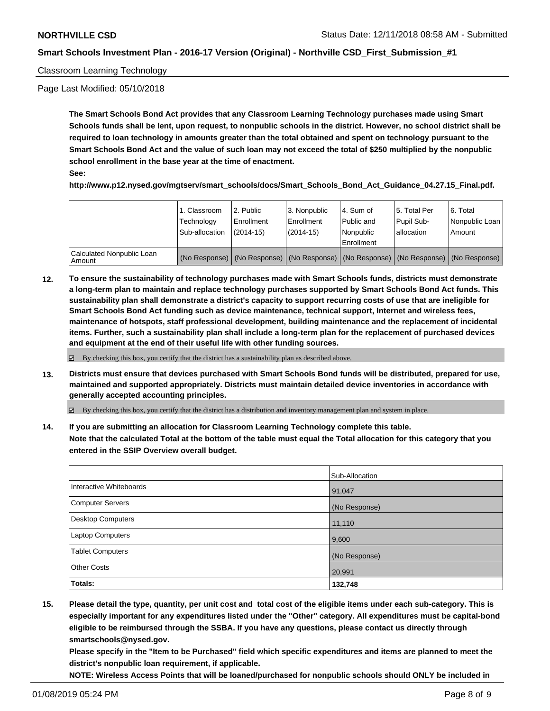### Classroom Learning Technology

Page Last Modified: 05/10/2018

**The Smart Schools Bond Act provides that any Classroom Learning Technology purchases made using Smart Schools funds shall be lent, upon request, to nonpublic schools in the district. However, no school district shall be required to loan technology in amounts greater than the total obtained and spent on technology pursuant to the Smart Schools Bond Act and the value of such loan may not exceed the total of \$250 multiplied by the nonpublic school enrollment in the base year at the time of enactment.**

**See:**

**http://www.p12.nysed.gov/mgtserv/smart\_schools/docs/Smart\_Schools\_Bond\_Act\_Guidance\_04.27.15\_Final.pdf.**

|                                       | 1. Classroom<br>Technology<br>Sub-allocation | 2. Public<br>l Enrollment<br>(2014-15) | l 3. Nonpublic<br>l Enrollment<br>$(2014 - 15)$ | I4. Sum of<br>Public and<br>l Nonpublic<br>Enrollment                                         | 15. Total Per<br>Pupil Sub-<br>l allocation | l 6. Total<br>Nonpublic Loan<br>Amount |
|---------------------------------------|----------------------------------------------|----------------------------------------|-------------------------------------------------|-----------------------------------------------------------------------------------------------|---------------------------------------------|----------------------------------------|
| Calculated Nonpublic Loan<br>l Amount |                                              |                                        |                                                 | (No Response)   (No Response)   (No Response)   (No Response)   (No Response)   (No Response) |                                             |                                        |

**12. To ensure the sustainability of technology purchases made with Smart Schools funds, districts must demonstrate a long-term plan to maintain and replace technology purchases supported by Smart Schools Bond Act funds. This sustainability plan shall demonstrate a district's capacity to support recurring costs of use that are ineligible for Smart Schools Bond Act funding such as device maintenance, technical support, Internet and wireless fees, maintenance of hotspots, staff professional development, building maintenance and the replacement of incidental items. Further, such a sustainability plan shall include a long-term plan for the replacement of purchased devices and equipment at the end of their useful life with other funding sources.**

 $\boxtimes$  By checking this box, you certify that the district has a sustainability plan as described above.

**13. Districts must ensure that devices purchased with Smart Schools Bond funds will be distributed, prepared for use, maintained and supported appropriately. Districts must maintain detailed device inventories in accordance with generally accepted accounting principles.**

By checking this box, you certify that the district has a distribution and inventory management plan and system in place.

**14. If you are submitting an allocation for Classroom Learning Technology complete this table. Note that the calculated Total at the bottom of the table must equal the Total allocation for this category that you entered in the SSIP Overview overall budget.**

|                          | Sub-Allocation |
|--------------------------|----------------|
| Interactive Whiteboards  | 91,047         |
| <b>Computer Servers</b>  | (No Response)  |
| <b>Desktop Computers</b> | 11,110         |
| Laptop Computers         | 9,600          |
| <b>Tablet Computers</b>  | (No Response)  |
| <b>Other Costs</b>       | 20,991         |
| Totals:                  | 132,748        |

**15. Please detail the type, quantity, per unit cost and total cost of the eligible items under each sub-category. This is especially important for any expenditures listed under the "Other" category. All expenditures must be capital-bond eligible to be reimbursed through the SSBA. If you have any questions, please contact us directly through smartschools@nysed.gov.**

**Please specify in the "Item to be Purchased" field which specific expenditures and items are planned to meet the district's nonpublic loan requirement, if applicable.**

**NOTE: Wireless Access Points that will be loaned/purchased for nonpublic schools should ONLY be included in**